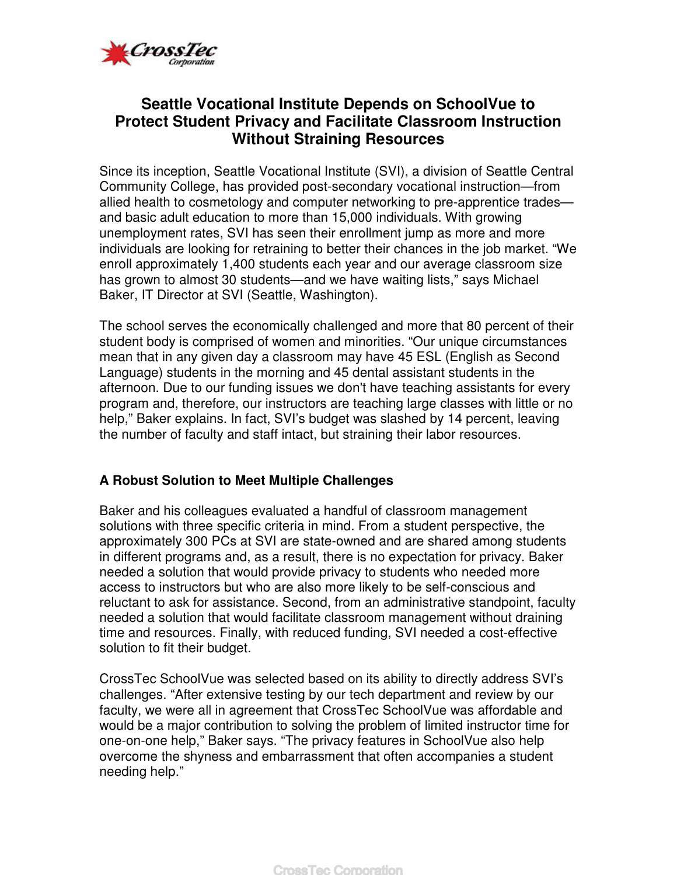

# **Seattle Vocational Institute Depends on SchoolVue to Protect Student Privacy and Facilitate Classroom Instruction Without Straining Resources**

Since its inception, Seattle Vocational Institute (SVI), a division of Seattle Central Community College, has provided post-secondary vocational instruction—from allied health to cosmetology and computer networking to pre-apprentice trades and basic adult education to more than 15,000 individuals. With growing unemployment rates, SVI has seen their enrollment jump as more and more individuals are looking for retraining to better their chances in the job market. "We enroll approximately 1,400 students each year and our average classroom size has grown to almost 30 students—and we have waiting lists," says Michael Baker, IT Director at SVI (Seattle, Washington).

The school serves the economically challenged and more that 80 percent of their student body is comprised of women and minorities. "Our unique circumstances mean that in any given day a classroom may have 45 ESL (English as Second Language) students in the morning and 45 dental assistant students in the afternoon. Due to our funding issues we don't have teaching assistants for every program and, therefore, our instructors are teaching large classes with little or no help," Baker explains. In fact, SVI's budget was slashed by 14 percent, leaving the number of faculty and staff intact, but straining their labor resources.

## **A Robust Solution to Meet Multiple Challenges**

Baker and his colleagues evaluated a handful of classroom management solutions with three specific criteria in mind. From a student perspective, the approximately 300 PCs at SVI are state-owned and are shared among students in different programs and, as a result, there is no expectation for privacy. Baker needed a solution that would provide privacy to students who needed more access to instructors but who are also more likely to be self-conscious and reluctant to ask for assistance. Second, from an administrative standpoint, faculty needed a solution that would facilitate classroom management without draining time and resources. Finally, with reduced funding, SVI needed a cost-effective solution to fit their budget.

CrossTec SchoolVue was selected based on its ability to directly address SVI's challenges. "After extensive testing by our tech department and review by our faculty, we were all in agreement that CrossTec SchoolVue was affordable and would be a major contribution to solving the problem of limited instructor time for one-on-one help," Baker says. "The privacy features in SchoolVue also help overcome the shyness and embarrassment that often accompanies a student needing help."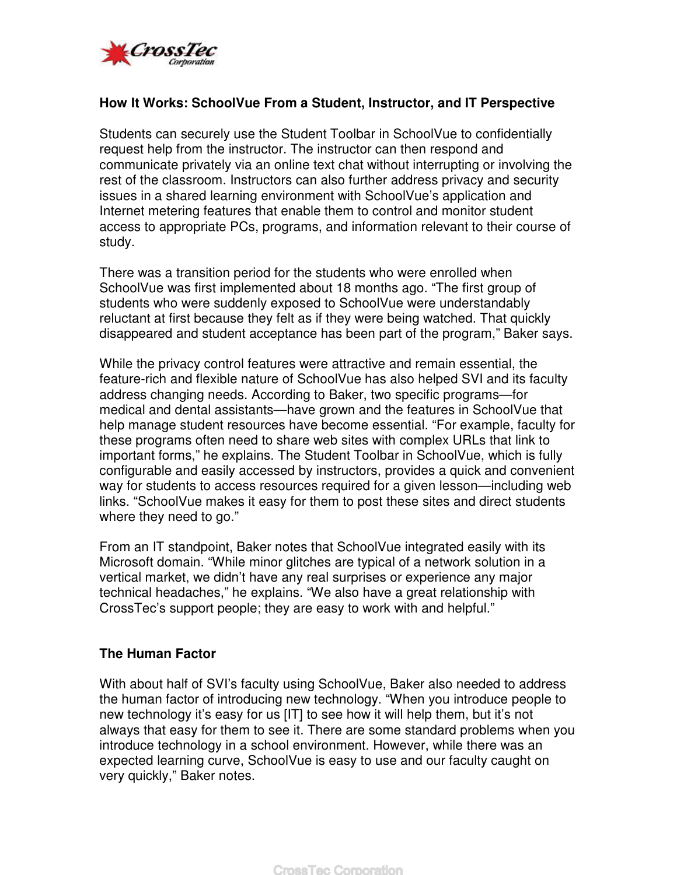

### **How It Works: SchoolVue From a Student, Instructor, and IT Perspective**

Students can securely use the Student Toolbar in SchoolVue to confidentially request help from the instructor. The instructor can then respond and communicate privately via an online text chat without interrupting or involving the rest of the classroom. Instructors can also further address privacy and security issues in a shared learning environment with SchoolVue's application and Internet metering features that enable them to control and monitor student access to appropriate PCs, programs, and information relevant to their course of study.

There was a transition period for the students who were enrolled when SchoolVue was first implemented about 18 months ago. "The first group of students who were suddenly exposed to SchoolVue were understandably reluctant at first because they felt as if they were being watched. That quickly disappeared and student acceptance has been part of the program," Baker says.

While the privacy control features were attractive and remain essential, the feature-rich and flexible nature of SchoolVue has also helped SVI and its faculty address changing needs. According to Baker, two specific programs—for medical and dental assistants—have grown and the features in SchoolVue that help manage student resources have become essential. "For example, faculty for these programs often need to share web sites with complex URLs that link to important forms," he explains. The Student Toolbar in SchoolVue, which is fully configurable and easily accessed by instructors, provides a quick and convenient way for students to access resources required for a given lesson—including web links. "SchoolVue makes it easy for them to post these sites and direct students where they need to go."

From an IT standpoint, Baker notes that SchoolVue integrated easily with its Microsoft domain. "While minor glitches are typical of a network solution in a vertical market, we didn't have any real surprises or experience any major technical headaches," he explains. "We also have a great relationship with CrossTec's support people; they are easy to work with and helpful."

#### **The Human Factor**

With about half of SVI's faculty using SchoolVue, Baker also needed to address the human factor of introducing new technology. "When you introduce people to new technology it's easy for us [IT] to see how it will help them, but it's not always that easy for them to see it. There are some standard problems when you introduce technology in a school environment. However, while there was an expected learning curve, SchoolVue is easy to use and our faculty caught on very quickly," Baker notes.